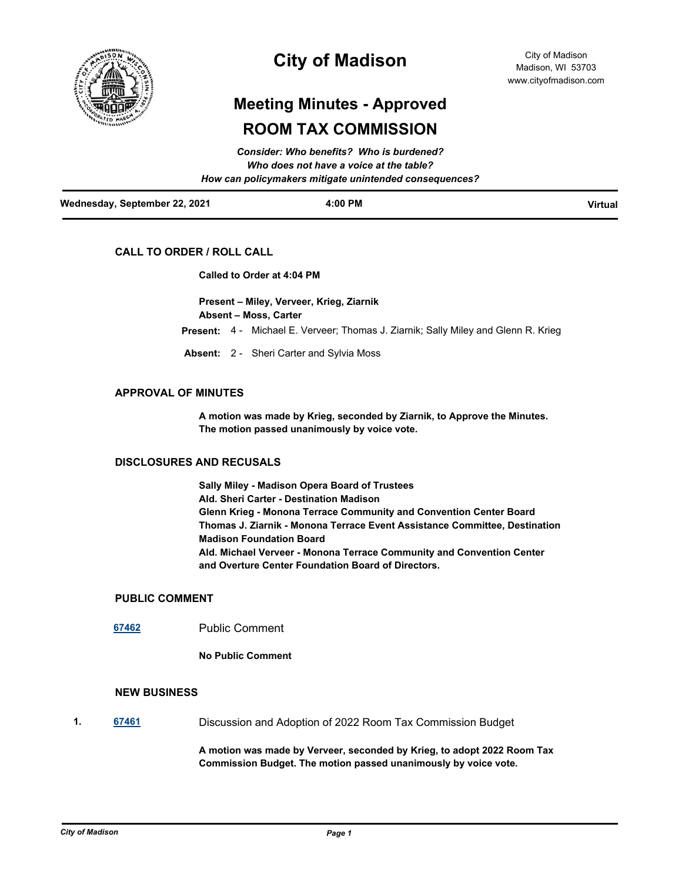

## **City of Madison**

# **Meeting Minutes - Approved ROOM TAX COMMISSION**

|                               | Consider: Who benefits? Who is burdened?               |         |
|-------------------------------|--------------------------------------------------------|---------|
|                               | Who does not have a voice at the table?                |         |
|                               | How can policymakers mitigate unintended consequences? |         |
| Wednesday, September 22, 2021 | $4:00$ PM                                              | Virtual |

### **CALL TO ORDER / ROLL CALL**

#### **Called to Order at 4:04 PM**

**Present – Miley, Verveer, Krieg, Ziarnik Absent – Moss, Carter**

**Present:** 4 - Michael E. Verveer; Thomas J. Ziarnik; Sally Miley and Glenn R. Krieg

**Absent:** 2 - Sheri Carter and Sylvia Moss

#### **APPROVAL OF MINUTES**

**A motion was made by Krieg, seconded by Ziarnik, to Approve the Minutes. The motion passed unanimously by voice vote.**

#### **DISCLOSURES AND RECUSALS**

**Sally Miley - Madison Opera Board of Trustees Ald. Sheri Carter - Destination Madison Glenn Krieg - Monona Terrace Community and Convention Center Board Thomas J. Ziarnik - Monona Terrace Event Assistance Committee, Destination Madison Foundation Board Ald. Michael Verveer - Monona Terrace Community and Convention Center and Overture Center Foundation Board of Directors.**

#### **PUBLIC COMMENT**

**[67462](http://madison.legistar.com/gateway.aspx?m=l&id=/matter.aspx?key=79364)** Public Comment

**No Public Comment**

## **NEW BUSINESS**

**1. [67461](http://madison.legistar.com/gateway.aspx?m=l&id=/matter.aspx?key=79363)** Discussion and Adoption of 2022 Room Tax Commission Budget

**A motion was made by Verveer, seconded by Krieg, to adopt 2022 Room Tax Commission Budget. The motion passed unanimously by voice vote.**